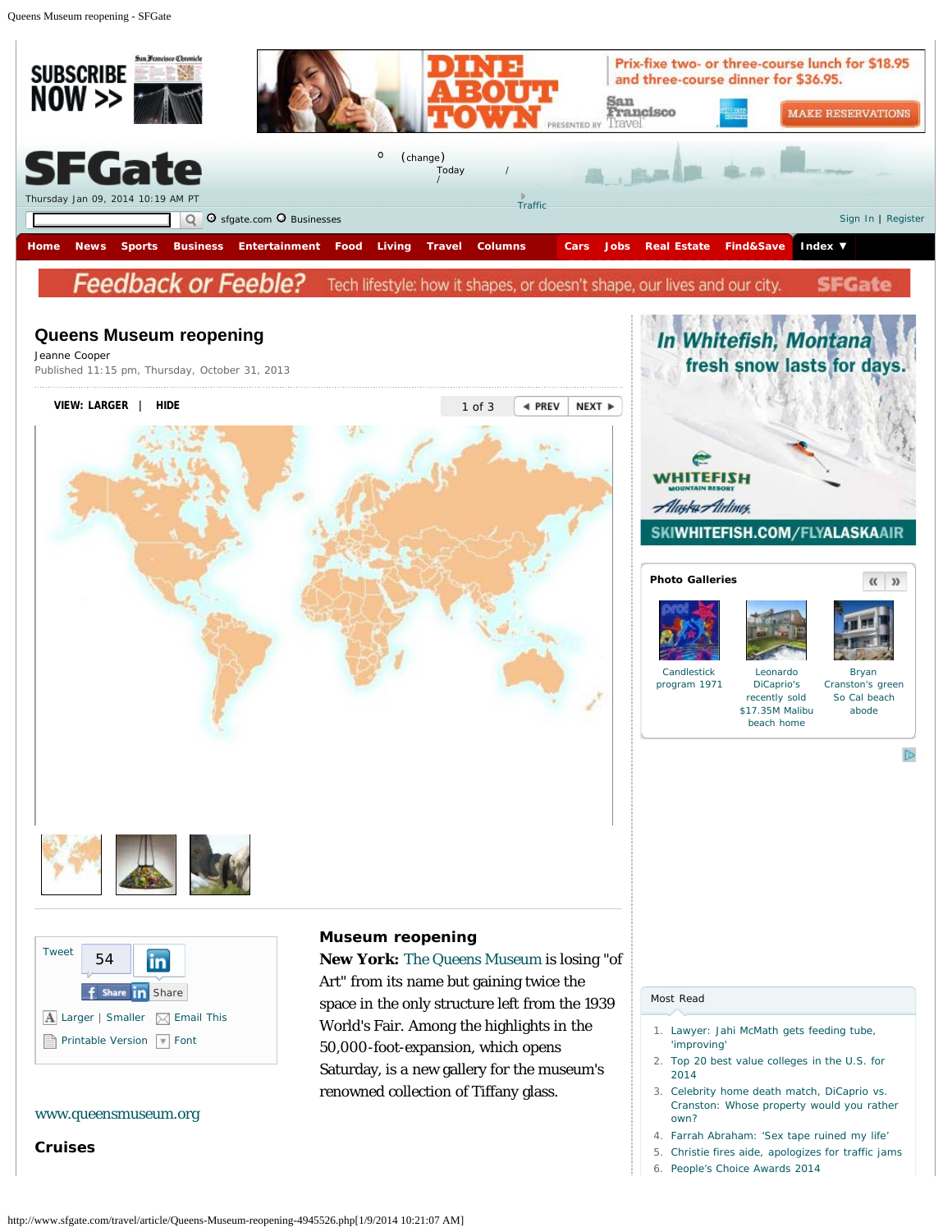<span id="page-0-0"></span>Queens Museum reopening - SFGate



# Jeanne Cooper Published 11:15 pm, Thursday, October 31, 2013 **VIEW: [LARGER](#page-0-0) | [HIDE](#page-0-0)** 1 of 3 **EXT → PREV** NEXT → **WHITEFISH** Alaska Airlines. SKIWHITEFISH.COM/FLYALASKAAIR **Photo Galleries** [Candlestick](http://www.sfgate.com/news/slideshow/Candlestick-program-1971-77417.php) [program 1971](http://www.sfgate.com/news/slideshow/Candlestick-program-1971-77417.php)



# [www.queensmuseum.org](http://www.queensmuseum.org/)

**Cruises**

#### **Museum reopening**

**New York:** [The Queens Museum](http://www.sfgate.com/?controllerName=search&action=search&channel=travel&search=1&inlineLink=1&query=%22The+Queens+Museum%22) is losing "of Art" from its name but gaining twice the space in the only structure left from the 1939 World's Fair. Among the highlights in the 50,000-foot-expansion, which opens Saturday, is a new gallery for the museum's renowned collection of Tiffany glass.

## [Most Read](#page-0-0)

1. [Lawyer: Jahi McMath gets feeding tube,](http://www.sfgate.com/health/article/Lawyer-Jahi-McMath-gets-feeding-tube-improving-5125917.php) ['improving'](http://www.sfgate.com/health/article/Lawyer-Jahi-McMath-gets-feeding-tube-improving-5125917.php)

[Leonardo](http://www.sfgate.com/realestate/slideshow/Leonardo-DiCaprio-039-s-recently-sold-17-35M-77415.php) [DiCaprio's](http://www.sfgate.com/realestate/slideshow/Leonardo-DiCaprio-039-s-recently-sold-17-35M-77415.php) [recently sold](http://www.sfgate.com/realestate/slideshow/Leonardo-DiCaprio-039-s-recently-sold-17-35M-77415.php) [\\$17.35M Malibu](http://www.sfgate.com/realestate/slideshow/Leonardo-DiCaprio-039-s-recently-sold-17-35M-77415.php) [beach home](http://www.sfgate.com/realestate/slideshow/Leonardo-DiCaprio-039-s-recently-sold-17-35M-77415.php)

fresh snow lasts for days.

e

[Bryan](http://www.sfgate.com/realestate/slideshow/Bryan-Cranston-039-s-green-So-Cal-beach-abode-77416.php) [Cranston's green](http://www.sfgate.com/realestate/slideshow/Bryan-Cranston-039-s-green-So-Cal-beach-abode-77416.php) [So Cal beach](http://www.sfgate.com/realestate/slideshow/Bryan-Cranston-039-s-green-So-Cal-beach-abode-77416.php) [abode](http://www.sfgate.com/realestate/slideshow/Bryan-Cranston-039-s-green-So-Cal-beach-abode-77416.php)

 $\langle\langle \ \rangle \rangle$ 

 $\mathbb{D}$ 

- 2. [Top 20 best value colleges in the U.S. for](http://www.sfgate.com/education/slideshow/Top-20-best-value-colleges-in-the-US-for-2014-77219.php) [2014](http://www.sfgate.com/education/slideshow/Top-20-best-value-colleges-in-the-US-for-2014-77219.php)
- 3. [Celebrity home death match, DiCaprio vs.](http://blog.sfgate.com/ontheblock/2014/01/09/celebrity-home-death-match-dicaprio-vs-cranston-whose-property-would-you-rather-own/) [Cranston: Whose property would you rather](http://blog.sfgate.com/ontheblock/2014/01/09/celebrity-home-death-match-dicaprio-vs-cranston-whose-property-would-you-rather-own/) [own?](http://blog.sfgate.com/ontheblock/2014/01/09/celebrity-home-death-match-dicaprio-vs-cranston-whose-property-would-you-rather-own/)
- 4. [Farrah Abraham: 'Sex tape ruined my life'](http://blog.sfgate.com/dailydish/2014/01/08/farrah-abraham-sex-tape-ruined-my-life/)
- 5. [Christie fires aide, apologizes for traffic jams](http://www.sfgate.com/news/politics/article/Christie-faces-political-fallout-over-traffic-jam-5126628.php)
- 6. [People's Choice Awards 2014](http://blog.sfgate.com/dailydish/2014/01/08/people-choice-awards-2014/)